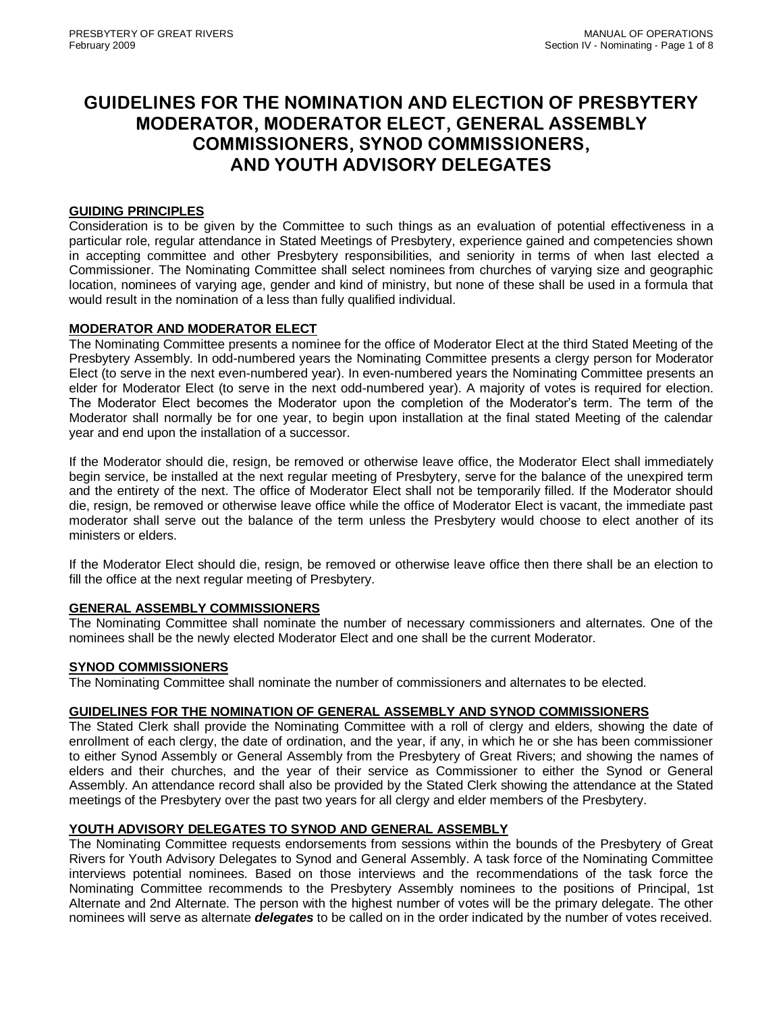# **GUIDELINES FOR THE NOMINATION AND ELECTION OF PRESBYTERY MODERATOR, MODERATOR ELECT, GENERAL ASSEMBLY COMMISSIONERS, SYNOD COMMISSIONERS, AND YOUTH ADVISORY DELEGATES**

## **GUIDING PRINCIPLES**

Consideration is to be given by the Committee to such things as an evaluation of potential effectiveness in a particular role, regular attendance in Stated Meetings of Presbytery, experience gained and competencies shown in accepting committee and other Presbytery responsibilities, and seniority in terms of when last elected a Commissioner. The Nominating Committee shall select nominees from churches of varying size and geographic location, nominees of varying age, gender and kind of ministry, but none of these shall be used in a formula that would result in the nomination of a less than fully qualified individual.

## **MODERATOR AND MODERATOR ELECT**

The Nominating Committee presents a nominee for the office of Moderator Elect at the third Stated Meeting of the Presbytery Assembly. In odd-numbered years the Nominating Committee presents a clergy person for Moderator Elect (to serve in the next even-numbered year). In even-numbered years the Nominating Committee presents an elder for Moderator Elect (to serve in the next odd-numbered year). A majority of votes is required for election. The Moderator Elect becomes the Moderator upon the completion of the Moderator's term. The term of the Moderator shall normally be for one year, to begin upon installation at the final stated Meeting of the calendar year and end upon the installation of a successor.

If the Moderator should die, resign, be removed or otherwise leave office, the Moderator Elect shall immediately begin service, be installed at the next regular meeting of Presbytery, serve for the balance of the unexpired term and the entirety of the next. The office of Moderator Elect shall not be temporarily filled. If the Moderator should die, resign, be removed or otherwise leave office while the office of Moderator Elect is vacant, the immediate past moderator shall serve out the balance of the term unless the Presbytery would choose to elect another of its ministers or elders.

If the Moderator Elect should die, resign, be removed or otherwise leave office then there shall be an election to fill the office at the next regular meeting of Presbytery.

## **GENERAL ASSEMBLY COMMISSIONERS**

The Nominating Committee shall nominate the number of necessary commissioners and alternates. One of the nominees shall be the newly elected Moderator Elect and one shall be the current Moderator.

#### **SYNOD COMMISSIONERS**

The Nominating Committee shall nominate the number of commissioners and alternates to be elected.

#### **GUIDELINES FOR THE NOMINATION OF GENERAL ASSEMBLY AND SYNOD COMMISSIONERS**

The Stated Clerk shall provide the Nominating Committee with a roll of clergy and elders, showing the date of enrollment of each clergy, the date of ordination, and the year, if any, in which he or she has been commissioner to either Synod Assembly or General Assembly from the Presbytery of Great Rivers; and showing the names of elders and their churches, and the year of their service as Commissioner to either the Synod or General Assembly. An attendance record shall also be provided by the Stated Clerk showing the attendance at the Stated meetings of the Presbytery over the past two years for all clergy and elder members of the Presbytery.

## **YOUTH ADVISORY DELEGATES TO SYNOD AND GENERAL ASSEMBLY**

The Nominating Committee requests endorsements from sessions within the bounds of the Presbytery of Great Rivers for Youth Advisory Delegates to Synod and General Assembly. A task force of the Nominating Committee interviews potential nominees. Based on those interviews and the recommendations of the task force the Nominating Committee recommends to the Presbytery Assembly nominees to the positions of Principal, 1st Alternate and 2nd Alternate. The person with the highest number of votes will be the primary delegate. The other nominees will serve as alternate *delegates* to be called on in the order indicated by the number of votes received.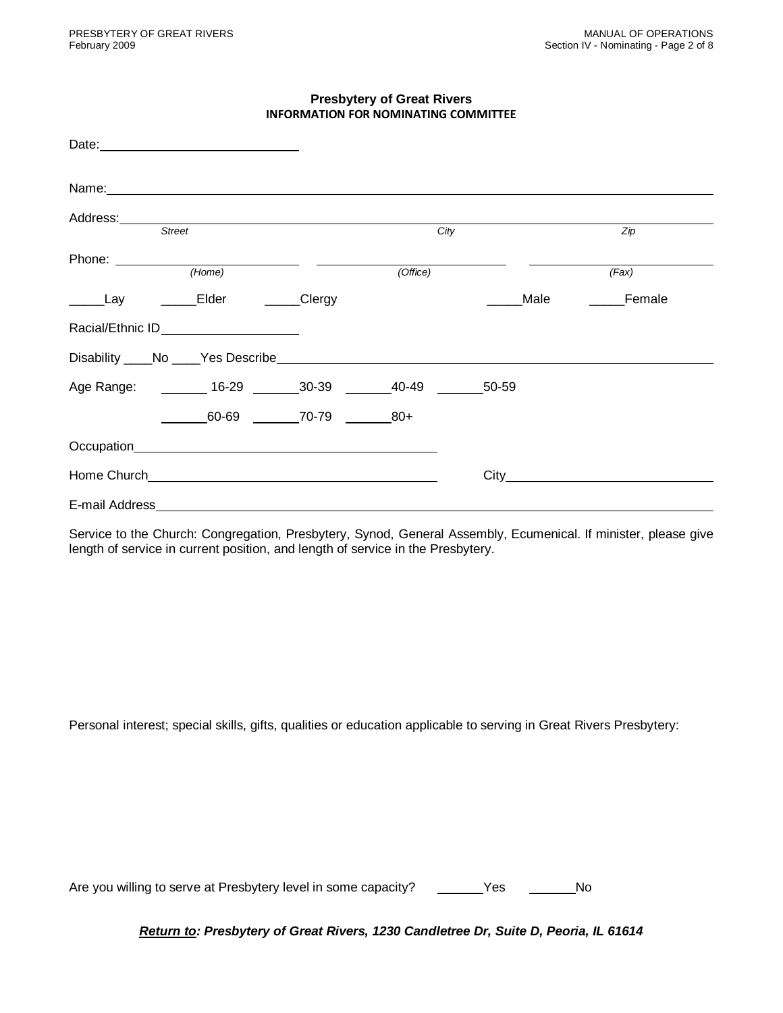## **Presbytery of Great Rivers INFORMATION FOR NOMINATING COMMITTEE**

| Name: Name: Name: Name: Name: Name: Name: Name: Name: Name: Name: Name: Name: Name: Name: Name: Name: Name: Name: Name: Name: Name: Name: Name: Name: Name: Name: Name: Name: Name: Name: Name: Name: Name: Name: Name: Name: |             |      |             |
|-------------------------------------------------------------------------------------------------------------------------------------------------------------------------------------------------------------------------------|-------------|------|-------------|
| Address: ____________                                                                                                                                                                                                         |             |      |             |
| <b>Street</b>                                                                                                                                                                                                                 | City        |      | Zip         |
| Phone: <u>___________</u><br>(Home)                                                                                                                                                                                           | (Office)    |      | (Fax)       |
| _______Elder ________Clergy<br>$\rule{1em}{0.15mm}$ Lay                                                                                                                                                                       |             | Male | _____Female |
| Racial/Ethnic ID______________________                                                                                                                                                                                        |             |      |             |
| Disability No Yes Describe No. 1997 No. 1997 No. 1998                                                                                                                                                                         |             |      |             |
| Age Range: ________ 16-29 _______ 30-39 _____                                                                                                                                                                                 | 40-49 50-59 |      |             |
| 60-69 70-79                                                                                                                                                                                                                   | $80+$       |      |             |
| Occupation experience and the contract of the contract of the contract of the contract of the contract of the contract of the contract of the contract of the contract of the contract of the contract of the contract of the |             |      |             |
|                                                                                                                                                                                                                               |             |      |             |
| E-mail Address                                                                                                                                                                                                                |             |      |             |

Service to the Church: Congregation, Presbytery, Synod, General Assembly, Ecumenical. If minister, please give length of service in current position, and length of service in the Presbytery.

Personal interest; special skills, gifts, qualities or education applicable to serving in Great Rivers Presbytery:

Are you willing to serve at Presbytery level in some capacity? \_\_\_\_\_\_Yes \_\_\_\_\_\_\_No

*Return to: Presbytery of Great Rivers, 1230 Candletree Dr, Suite D, Peoria, IL 61614*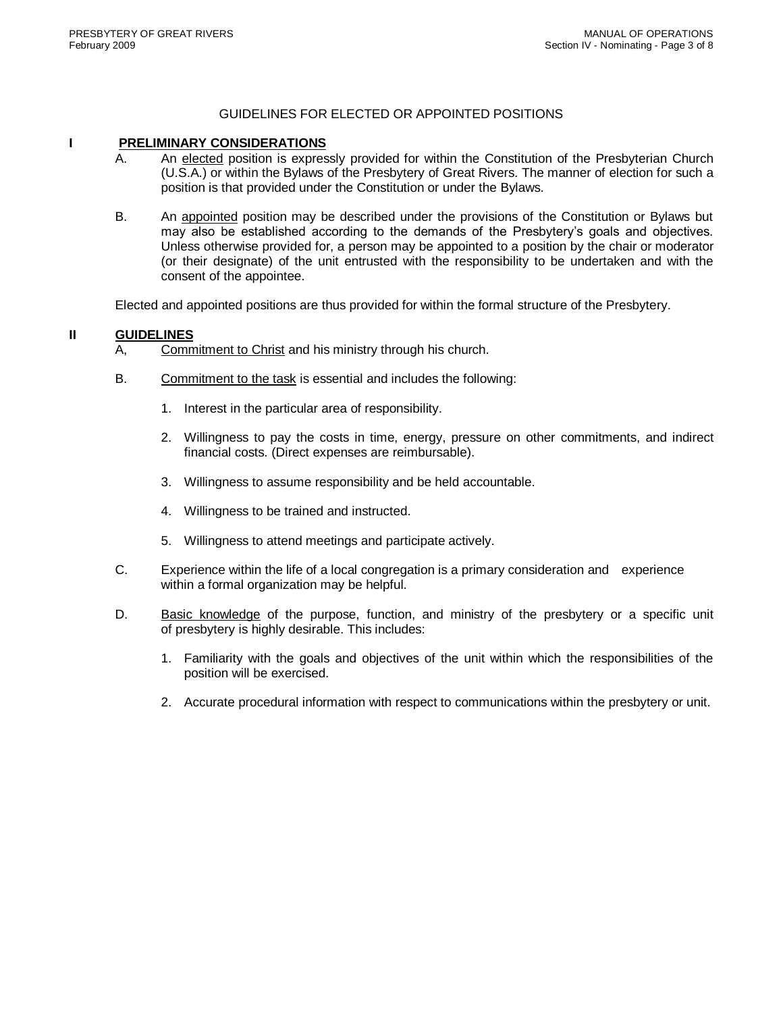## GUIDELINES FOR ELECTED OR APPOINTED POSITIONS

#### **I PRELIMINARY CONSIDERATIONS**

- A. An elected position is expressly provided for within the Constitution of the Presbyterian Church (U.S.A.) or within the Bylaws of the Presbytery of Great Rivers. The manner of election for such a position is that provided under the Constitution or under the Bylaws.
- B. An appointed position may be described under the provisions of the Constitution or Bylaws but may also be established according to the demands of the Presbytery's goals and objectives. Unless otherwise provided for, a person may be appointed to a position by the chair or moderator (or their designate) of the unit entrusted with the responsibility to be undertaken and with the consent of the appointee.

Elected and appointed positions are thus provided for within the formal structure of the Presbytery.

#### **II GUIDELINES**

- A, Commitment to Christ and his ministry through his church.
- B. Commitment to the task is essential and includes the following:
	- 1. Interest in the particular area of responsibility.
	- 2. Willingness to pay the costs in time, energy, pressure on other commitments, and indirect financial costs. (Direct expenses are reimbursable).
	- 3. Willingness to assume responsibility and be held accountable.
	- 4. Willingness to be trained and instructed.
	- 5. Willingness to attend meetings and participate actively.
- C. Experience within the life of a local congregation is a primary consideration and experience within a formal organization may be helpful.
- D. Basic knowledge of the purpose, function, and ministry of the presbytery or a specific unit of presbytery is highly desirable. This includes:
	- 1. Familiarity with the goals and objectives of the unit within which the responsibilities of the position will be exercised.
	- 2. Accurate procedural information with respect to communications within the presbytery or unit.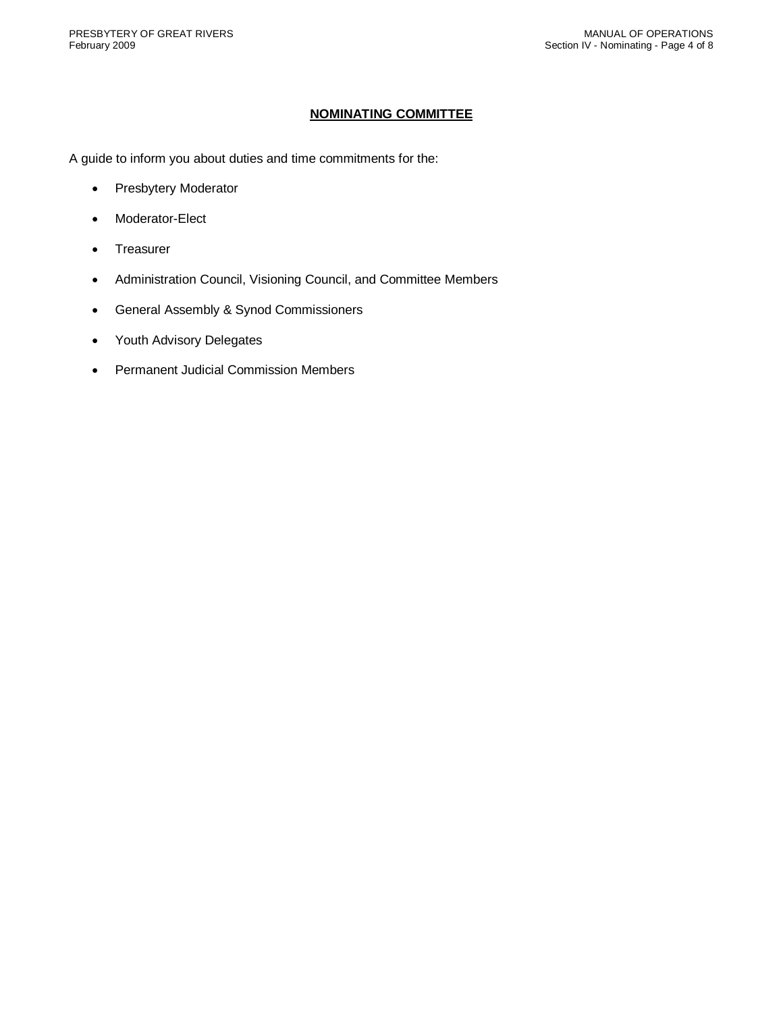#### **NOMINATING COMMITTEE**

A guide to inform you about duties and time commitments for the:

- Presbytery Moderator
- Moderator-Elect
- Treasurer
- Administration Council, Visioning Council, and Committee Members
- General Assembly & Synod Commissioners
- Youth Advisory Delegates
- Permanent Judicial Commission Members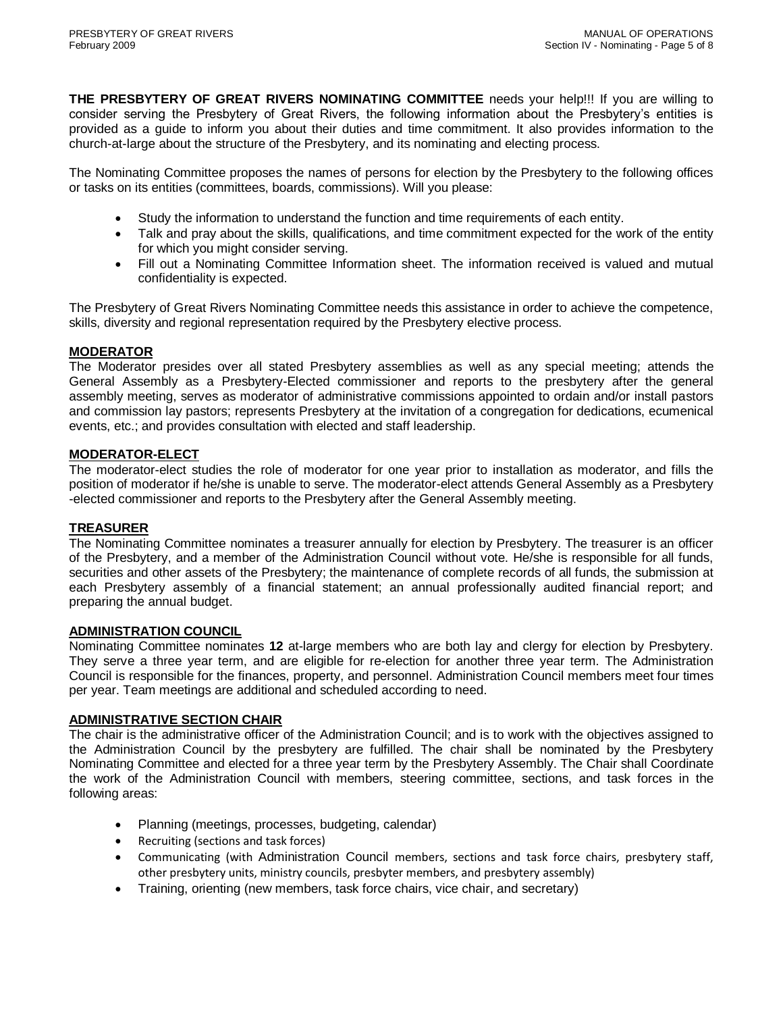**THE PRESBYTERY OF GREAT RIVERS NOMINATING COMMITTEE** needs your help!!! If you are willing to consider serving the Presbytery of Great Rivers, the following information about the Presbytery's entities is provided as a guide to inform you about their duties and time commitment. It also provides information to the church-at-large about the structure of the Presbytery, and its nominating and electing process.

The Nominating Committee proposes the names of persons for election by the Presbytery to the following offices or tasks on its entities (committees, boards, commissions). Will you please:

- Study the information to understand the function and time requirements of each entity.
- Talk and pray about the skills, qualifications, and time commitment expected for the work of the entity for which you might consider serving.
- Fill out a Nominating Committee Information sheet. The information received is valued and mutual confidentiality is expected.

The Presbytery of Great Rivers Nominating Committee needs this assistance in order to achieve the competence, skills, diversity and regional representation required by the Presbytery elective process.

## **MODERATOR**

The Moderator presides over all stated Presbytery assemblies as well as any special meeting; attends the General Assembly as a Presbytery-Elected commissioner and reports to the presbytery after the general assembly meeting, serves as moderator of administrative commissions appointed to ordain and/or install pastors and commission lay pastors; represents Presbytery at the invitation of a congregation for dedications, ecumenical events, etc.; and provides consultation with elected and staff leadership.

## **MODERATOR-ELECT**

The moderator-elect studies the role of moderator for one year prior to installation as moderator, and fills the position of moderator if he/she is unable to serve. The moderator-elect attends General Assembly as a Presbytery -elected commissioner and reports to the Presbytery after the General Assembly meeting.

## **TREASURER**

The Nominating Committee nominates a treasurer annually for election by Presbytery. The treasurer is an officer of the Presbytery, and a member of the Administration Council without vote. He/she is responsible for all funds, securities and other assets of the Presbytery; the maintenance of complete records of all funds, the submission at each Presbytery assembly of a financial statement; an annual professionally audited financial report; and preparing the annual budget.

#### **ADMINISTRATION COUNCIL**

Nominating Committee nominates **12** at-large members who are both lay and clergy for election by Presbytery. They serve a three year term, and are eligible for re-election for another three year term. The Administration Council is responsible for the finances, property, and personnel. Administration Council members meet four times per year. Team meetings are additional and scheduled according to need.

## **ADMINISTRATIVE SECTION CHAIR**

The chair is the administrative officer of the Administration Council; and is to work with the objectives assigned to the Administration Council by the presbytery are fulfilled. The chair shall be nominated by the Presbytery Nominating Committee and elected for a three year term by the Presbytery Assembly. The Chair shall Coordinate the work of the Administration Council with members, steering committee, sections, and task forces in the following areas:

- Planning (meetings, processes, budgeting, calendar)
- Recruiting (sections and task forces)
- Communicating (with Administration Council members, sections and task force chairs, presbytery staff, other presbytery units, ministry councils, presbyter members, and presbytery assembly)
- Training, orienting (new members, task force chairs, vice chair, and secretary)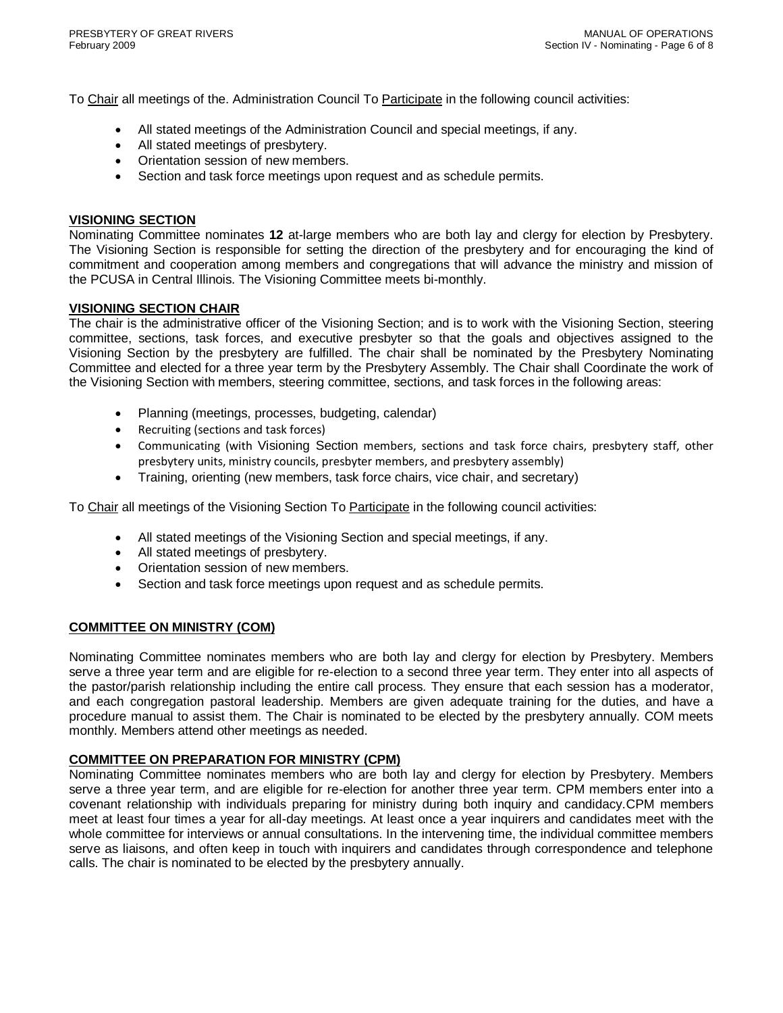To Chair all meetings of the. Administration Council To Participate in the following council activities:

- All stated meetings of the Administration Council and special meetings, if any.
- All stated meetings of presbytery.
- Orientation session of new members.
- Section and task force meetings upon request and as schedule permits.

#### **VISIONING SECTION**

Nominating Committee nominates **12** at-large members who are both lay and clergy for election by Presbytery. The Visioning Section is responsible for setting the direction of the presbytery and for encouraging the kind of commitment and cooperation among members and congregations that will advance the ministry and mission of the PCUSA in Central Illinois. The Visioning Committee meets bi-monthly.

## **VISIONING SECTION CHAIR**

The chair is the administrative officer of the Visioning Section; and is to work with the Visioning Section, steering committee, sections, task forces, and executive presbyter so that the goals and objectives assigned to the Visioning Section by the presbytery are fulfilled. The chair shall be nominated by the Presbytery Nominating Committee and elected for a three year term by the Presbytery Assembly. The Chair shall Coordinate the work of the Visioning Section with members, steering committee, sections, and task forces in the following areas:

- Planning (meetings, processes, budgeting, calendar)
- Recruiting (sections and task forces)
- Communicating (with Visioning Section members, sections and task force chairs, presbytery staff, other presbytery units, ministry councils, presbyter members, and presbytery assembly)
- Training, orienting (new members, task force chairs, vice chair, and secretary)

To Chair all meetings of the Visioning Section To Participate in the following council activities:

- All stated meetings of the Visioning Section and special meetings, if any.
- All stated meetings of presbytery.
- Orientation session of new members.
- Section and task force meetings upon request and as schedule permits.

## **COMMITTEE ON MINISTRY (COM)**

Nominating Committee nominates members who are both lay and clergy for election by Presbytery. Members serve a three year term and are eligible for re-election to a second three year term. They enter into all aspects of the pastor/parish relationship including the entire call process. They ensure that each session has a moderator, and each congregation pastoral leadership. Members are given adequate training for the duties, and have a procedure manual to assist them. The Chair is nominated to be elected by the presbytery annually. COM meets monthly. Members attend other meetings as needed.

## **COMMITTEE ON PREPARATION FOR MINISTRY (CPM)**

Nominating Committee nominates members who are both lay and clergy for election by Presbytery. Members serve a three year term, and are eligible for re-election for another three year term. CPM members enter into a covenant relationship with individuals preparing for ministry during both inquiry and candidacy.CPM members meet at least four times a year for all-day meetings. At least once a year inquirers and candidates meet with the whole committee for interviews or annual consultations. In the intervening time, the individual committee members serve as liaisons, and often keep in touch with inquirers and candidates through correspondence and telephone calls. The chair is nominated to be elected by the presbytery annually.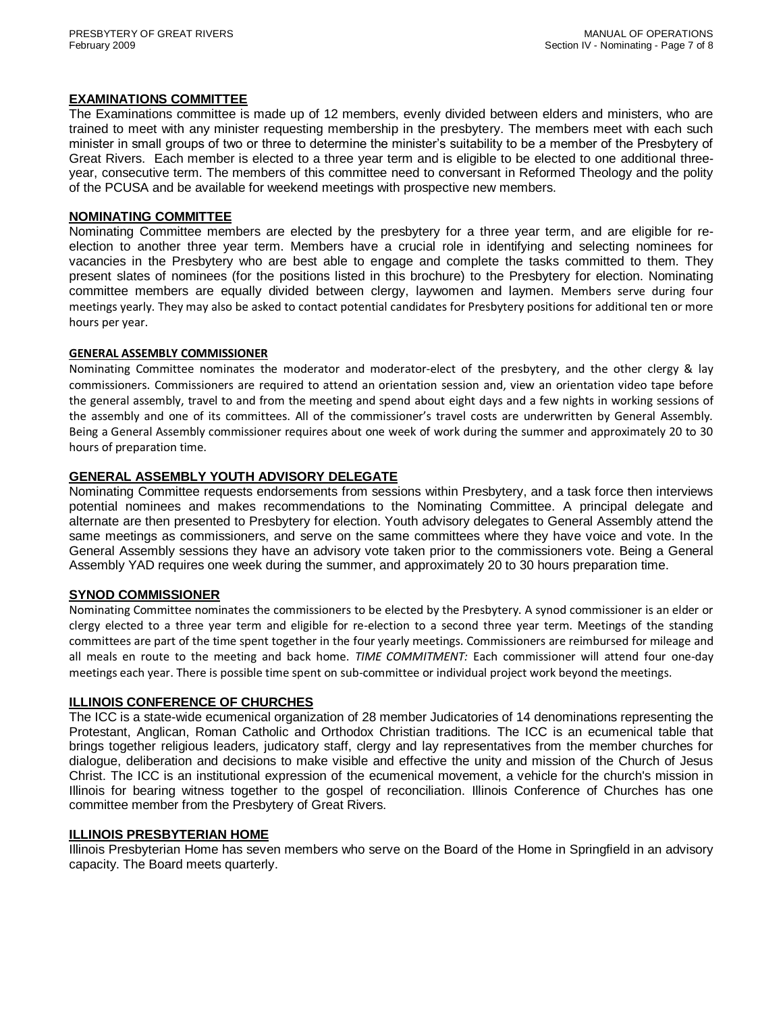#### **EXAMINATIONS COMMITTEE**

The Examinations committee is made up of 12 members, evenly divided between elders and ministers, who are trained to meet with any minister requesting membership in the presbytery. The members meet with each such minister in small groups of two or three to determine the minister's suitability to be a member of the Presbytery of Great Rivers. Each member is elected to a three year term and is eligible to be elected to one additional threeyear, consecutive term. The members of this committee need to conversant in Reformed Theology and the polity of the PCUSA and be available for weekend meetings with prospective new members.

#### **NOMINATING COMMITTEE**

Nominating Committee members are elected by the presbytery for a three year term, and are eligible for reelection to another three year term. Members have a crucial role in identifying and selecting nominees for vacancies in the Presbytery who are best able to engage and complete the tasks committed to them. They present slates of nominees (for the positions listed in this brochure) to the Presbytery for election. Nominating committee members are equally divided between clergy, laywomen and laymen. Members serve during four meetings yearly. They may also be asked to contact potential candidates for Presbytery positions for additional ten or more hours per year.

#### **GENERAL ASSEMBLY COMMISSIONER**

Nominating Committee nominates the moderator and moderator-elect of the presbytery, and the other clergy & lay commissioners. Commissioners are required to attend an orientation session and, view an orientation video tape before the general assembly, travel to and from the meeting and spend about eight days and a few nights in working sessions of the assembly and one of its committees. All of the commissioner's travel costs are underwritten by General Assembly. Being a General Assembly commissioner requires about one week of work during the summer and approximately 20 to 30 hours of preparation time.

## **GENERAL ASSEMBLY YOUTH ADVISORY DELEGATE**

Nominating Committee requests endorsements from sessions within Presbytery, and a task force then interviews potential nominees and makes recommendations to the Nominating Committee. A principal delegate and alternate are then presented to Presbytery for election. Youth advisory delegates to General Assembly attend the same meetings as commissioners, and serve on the same committees where they have voice and vote. In the General Assembly sessions they have an advisory vote taken prior to the commissioners vote. Being a General Assembly YAD requires one week during the summer, and approximately 20 to 30 hours preparation time.

#### **SYNOD COMMISSIONER**

Nominating Committee nominates the commissioners to be elected by the Presbytery. A synod commissioner is an elder or clergy elected to a three year term and eligible for re-election to a second three year term. Meetings of the standing committees are part of the time spent together in the four yearly meetings. Commissioners are reimbursed for mileage and all meals en route to the meeting and back home. *TIME COMMITMENT:* Each commissioner will attend four one-day meetings each year. There is possible time spent on sub-committee or individual project work beyond the meetings.

#### **ILLINOIS CONFERENCE OF CHURCHES**

The ICC is a state-wide ecumenical organization of 28 member Judicatories of 14 denominations representing the Protestant, Anglican, Roman Catholic and Orthodox Christian traditions. The ICC is an ecumenical table that brings together religious leaders, judicatory staff, clergy and lay representatives from the member churches for dialogue, deliberation and decisions to make visible and effective the unity and mission of the Church of Jesus Christ. The ICC is an institutional expression of the ecumenical movement, a vehicle for the church's mission in Illinois for bearing witness together to the gospel of reconciliation. Illinois Conference of Churches has one committee member from the Presbytery of Great Rivers.

## **ILLINOIS PRESBYTERIAN HOME**

Illinois Presbyterian Home has seven members who serve on the Board of the Home in Springfield in an advisory capacity. The Board meets quarterly.